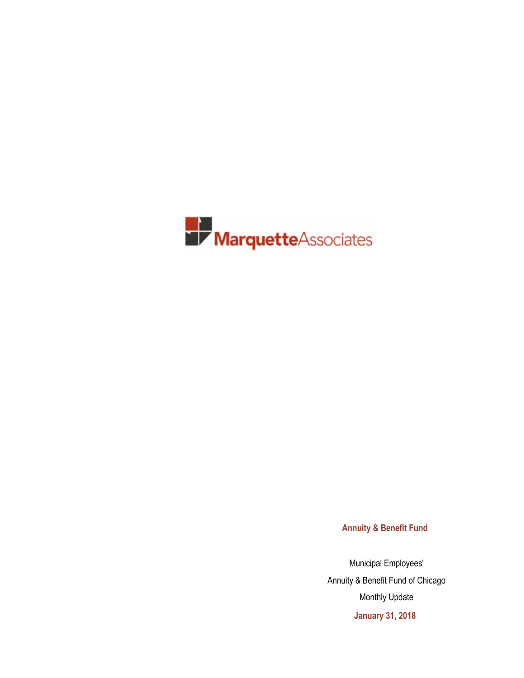

**Annuity & Benefit Fund**

Municipal Employees' Annuity & Benefit Fund of Chicago Monthly Update **January 31, 2018**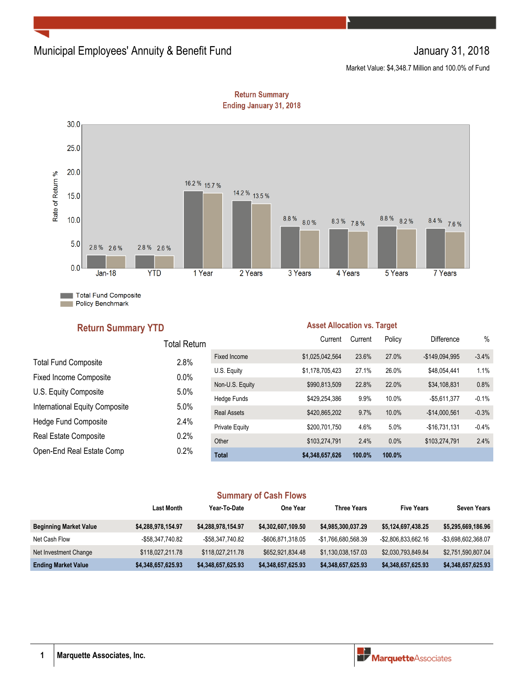### Municipal Employees' Annuity & Benefit Fund January 31, 2018

Market Value: \$4,348.7 Million and 100.0% of Fund



**Return Summary Ending January 31, 2018** 

### **Return Summary YTD**

### **Asset Allocation vs. Target**

|                                | Total Return |                       | Current         | Current | Policy | <b>Difference</b> | $\%$    |
|--------------------------------|--------------|-----------------------|-----------------|---------|--------|-------------------|---------|
| <b>Total Fund Composite</b>    | 2.8%         | Fixed Income          | \$1,025,042,564 | 23.6%   | 27.0%  | $-$149,094,995$   | $-3.4%$ |
| <b>Fixed Income Composite</b>  | 0.0%         | U.S. Equity           | \$1,178,705,423 | 27.1%   | 26.0%  | \$48,054,441      | 1.1%    |
|                                |              | Non-U.S. Equity       | \$990,813,509   | 22.8%   | 22.0%  | \$34,108,831      | 0.8%    |
| U.S. Equity Composite          | 5.0%         | Hedge Funds           | \$429,254,386   | 9.9%    | 10.0%  | $-$5,611,377$     | $-0.1%$ |
| International Equity Composite | 5.0%         | <b>Real Assets</b>    | \$420,865,202   | 9.7%    | 10.0%  | $-$14,000,561$    | $-0.3%$ |
| Hedge Fund Composite           | 2.4%         | <b>Private Equity</b> | \$200,701,750   | 4.6%    | 5.0%   | $-$16.731.131$    | $-0.4%$ |
| Real Estate Composite          | 0.2%         | Other                 | \$103,274,791   | 2.4%    | 0.0%   | \$103,274,791     | 2.4%    |
| Open-End Real Estate Comp      | 0.2%         | <b>Total</b>          | \$4,348,657,626 | 100.0%  | 100.0% |                   |         |

### **Summary of Cash Flows**

|                               | Last Month         | Year-To-Date       | One Year           | <b>Three Years</b>  | <b>Five Years</b>   | <b>Seven Years</b>  |
|-------------------------------|--------------------|--------------------|--------------------|---------------------|---------------------|---------------------|
| <b>Beginning Market Value</b> | \$4,288,978,154.97 | \$4,288,978,154.97 | \$4,302,607,109.50 | \$4,985,300,037.29  | \$5,124,697,438.25  | \$5,295,669,186.96  |
| Net Cash Flow                 | -\$58.347.740.82   | -\$58.347.740.82   | -\$606,871,318.05  | -\$1.766.680.568.39 | -\$2,806,833,662.16 | -\$3,698,602,368.07 |
| Net Investment Change         | \$118,027,211.78   | \$118,027,211.78   | \$652.921.834.48   | \$1,130,038,157.03  | \$2,030,793,849.84  | \$2,751,590,807.04  |
| <b>Ending Market Value</b>    | \$4,348,657,625.93 | \$4,348,657,625.93 | \$4,348,657,625.93 | \$4,348,657,625.93  | \$4,348,657,625.93  | \$4,348,657,625.93  |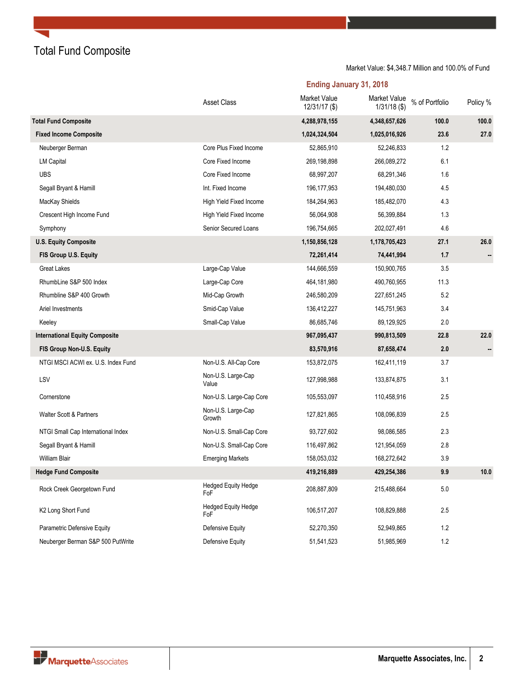Total Fund Composite

Market Value: \$4,348.7 Million and 100.0% of Fund

**Ending January 31, 2018**

|                                       | <b>Asset Class</b>                | Market Value<br>12/31/17 (\$) | Market Value<br>$1/31/18$ (\$) | % of Portfolio | Policy % |
|---------------------------------------|-----------------------------------|-------------------------------|--------------------------------|----------------|----------|
| <b>Total Fund Composite</b>           |                                   | 4,288,978,155                 | 4,348,657,626                  | 100.0          | 100.0    |
| <b>Fixed Income Composite</b>         |                                   | 1,024,324,504                 | 1,025,016,926                  | 23.6           | 27.0     |
| Neuberger Berman                      | Core Plus Fixed Income            | 52,865,910                    | 52,246,833                     | 1.2            |          |
| <b>LM Capital</b>                     | Core Fixed Income                 | 269,198,898                   | 266,089,272                    | 6.1            |          |
| <b>UBS</b>                            | Core Fixed Income                 | 68,997,207                    | 68,291,346                     | 1.6            |          |
| Segall Bryant & Hamill                | Int. Fixed Income                 | 196, 177, 953                 | 194,480,030                    | 4.5            |          |
| MacKay Shields                        | <b>High Yield Fixed Income</b>    | 184,264,963                   | 185,482,070                    | 4.3            |          |
| Crescent High Income Fund             | High Yield Fixed Income           | 56,064,908                    | 56,399,884                     | 1.3            |          |
| Symphony                              | Senior Secured Loans              | 196,754,665                   | 202,027,491                    | 4.6            |          |
| <b>U.S. Equity Composite</b>          |                                   | 1,150,856,128                 | 1,178,705,423                  | 27.1           | 26.0     |
| FIS Group U.S. Equity                 |                                   | 72,261,414                    | 74,441,994                     | 1.7            |          |
| Great Lakes                           | Large-Cap Value                   | 144,666,559                   | 150,900,765                    | 3.5            |          |
| RhumbLine S&P 500 Index               | Large-Cap Core                    | 464,181,980                   | 490,760,955                    | 11.3           |          |
| Rhumbline S&P 400 Growth              | Mid-Cap Growth                    | 246,580,209                   | 227,651,245                    | 5.2            |          |
| Ariel Investments                     | Smid-Cap Value                    | 136,412,227                   | 145,751,963                    | 3.4            |          |
| Keeley                                | Small-Cap Value                   | 86,685,746                    | 89,129,925                     | 2.0            |          |
| <b>International Equity Composite</b> |                                   | 967,095,437                   | 990,813,509                    | 22.8           | 22.0     |
| FIS Group Non-U.S. Equity             |                                   | 83,570,916                    | 87,658,474                     | 2.0            |          |
| NTGI MSCI ACWI ex. U.S. Index Fund    | Non-U.S. All-Cap Core             | 153,872,075                   | 162,411,119                    | 3.7            |          |
| LSV                                   | Non-U.S. Large-Cap<br>Value       | 127,998,988                   | 133,874,875                    | 3.1            |          |
| Cornerstone                           | Non-U.S. Large-Cap Core           | 105,553,097                   | 110,458,916                    | 2.5            |          |
| <b>Walter Scott &amp; Partners</b>    | Non-U.S. Large-Cap<br>Growth      | 127,821,865                   | 108,096,839                    | 2.5            |          |
| NTGI Small Cap International Index    | Non-U.S. Small-Cap Core           | 93,727,602                    | 98,086,585                     | 2.3            |          |
| Segall Bryant & Hamill                | Non-U.S. Small-Cap Core           | 116,497,862                   | 121,954,059                    | 2.8            |          |
| <b>William Blair</b>                  | <b>Emerging Markets</b>           | 158,053,032                   | 168,272,642                    | 3.9            |          |
| <b>Hedge Fund Composite</b>           |                                   | 419,216,889                   | 429,254,386                    | 9.9            | 10.0     |
| Rock Creek Georgetown Fund            | <b>Hedged Equity Hedge</b><br>FoF | 208,887,809                   | 215,488,664                    | 5.0            |          |
| K2 Long Short Fund                    | <b>Hedged Equity Hedge</b><br>FoF | 106,517,207                   | 108,829,888                    | 2.5            |          |
| Parametric Defensive Equity           | Defensive Equity                  | 52,270,350                    | 52,949,865                     | 1.2            |          |
| Neuberger Berman S&P 500 PutWrite     | <b>Defensive Equity</b>           | 51,541,523                    | 51,985,969                     | $1.2$          |          |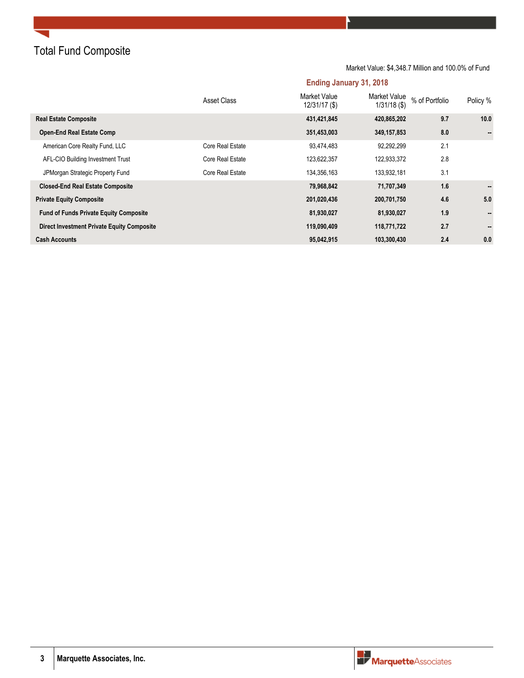Total Fund Composite

Market Value: \$4,348.7 Million and 100.0% of Fund

**Ending January 31, 2018**

|                                                   | Asset Class      | Market Value<br>$12/31/17($ \$) | Market Value<br>$1/31/18$ (\$) | % of Portfolio | Policy %       |
|---------------------------------------------------|------------------|---------------------------------|--------------------------------|----------------|----------------|
| <b>Real Estate Composite</b>                      |                  | 431,421,845                     | 420,865,202                    | 9.7            | 10.0           |
| <b>Open-End Real Estate Comp</b>                  |                  | 351,453,003                     | 349,157,853                    | 8.0            |                |
| American Core Realty Fund, LLC                    | Core Real Estate | 93,474,483                      | 92,292,299                     | 2.1            |                |
| AFL-CIO Building Investment Trust                 | Core Real Estate | 123,622,357                     | 122,933,372                    | 2.8            |                |
| JPMorgan Strategic Property Fund                  | Core Real Estate | 134,356,163                     | 133,932,181                    | 3.1            |                |
| <b>Closed-End Real Estate Composite</b>           |                  | 79,968,842                      | 71,707,349                     | 1.6            | $\sim$         |
| <b>Private Equity Composite</b>                   |                  | 201,020,436                     | 200,701,750                    | 4.6            | 5.0            |
| <b>Fund of Funds Private Equity Composite</b>     |                  | 81,930,027                      | 81,930,027                     | 1.9            | $\blacksquare$ |
| <b>Direct Investment Private Equity Composite</b> |                  | 119,090,409                     | 118,771,722                    | 2.7            |                |
| <b>Cash Accounts</b>                              |                  | 95,042,915                      | 103,300,430                    | 2.4            | 0.0            |

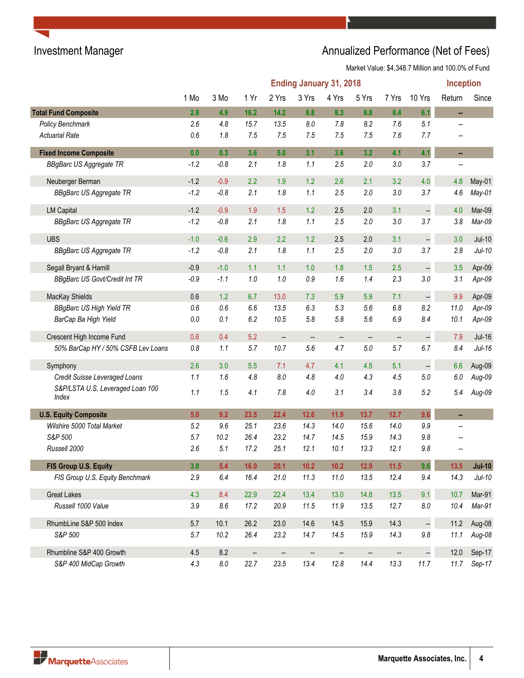# Investment Manager **Annualized Performance (Net of Fees)**

|                                           | <b>Ending January 31, 2018</b><br>Inception |           |                          |                          |                          |                          |                   |                          |                          |                          |               |
|-------------------------------------------|---------------------------------------------|-----------|--------------------------|--------------------------|--------------------------|--------------------------|-------------------|--------------------------|--------------------------|--------------------------|---------------|
|                                           | 1 Mo                                        | 3 Mo      | 1 Yr                     | 2 Yrs                    | 3 Yrs                    | 4 Yrs                    | 5 Yrs             | 7 Yrs                    | 10 Yrs                   | Return                   | Since         |
| <b>Total Fund Composite</b>               | 2.8                                         | 4.9       | 16.2                     | 14.2                     | 8.8                      | 8.3                      | 8.8               | 8.4                      | 6.1                      | u,                       |               |
| Policy Benchmark                          | 2.6                                         | 4.8       | 15.7                     | 13.5                     | 8.0                      | $7.8$                    | 8.2               | 7.6                      | 5.1                      | $\overline{\phantom{0}}$ |               |
| <b>Actuarial Rate</b>                     | 0.6                                         | 1.8       | 7.5                      | 7.5                      | 7.5                      | 7.5                      | 7.5               | 7.6                      | 7.7                      | --                       |               |
| <b>Fixed Income Composite</b>             | 0.0                                         | 0.3       | 3.6                      | 5.0                      | 3.1                      | 3.6                      | 3.2               | 4.1                      | 4.1                      | ш,                       |               |
| <b>BBgBarc US Aggregate TR</b>            | $-1.2$                                      | $-0.8$    | 2.1                      | 1.8                      | 1.1                      | 2.5                      | $2.0\,$           | 3.0                      | 3.7                      |                          |               |
| Neuberger Berman                          | $-1.2$                                      | $-0.9$    | 2.2                      | 1.9                      | 1.2                      | 2.6                      | 2.1               | 3.2                      | 4.0                      | 4.8                      | May-01        |
| <b>BBgBarc US Aggregate TR</b>            | $-1.2$                                      | $-0.8$    | 2.1                      | 1.8                      | 1.1                      | 2.5                      | 2.0               | 3.0                      | 3.7                      | 4.6                      | May-01        |
| <b>LM Capital</b>                         | $-1.2$                                      | $-0.9$    | 1.9                      | 1.5                      | 1.2                      | 2.5                      | 2.0               | 3.1                      | --                       | 4.0                      | Mar-09        |
| <b>BBgBarc US Aggregate TR</b>            | $-1.2$                                      | $-0.8$    | 2.1                      | 1.8                      | 1.1                      | 2.5                      | $2.0\,$           | 3.0                      | 3.7                      | 3.8                      | Mar-09        |
| <b>UBS</b>                                | $-1.0$                                      | $-0.6$    | 2.9                      | 2.2                      | 1.2                      | 2.5                      | 2.0               | 3.1                      |                          | 3.0                      | $Jul-10$      |
| <b>BBgBarc US Aggregate TR</b>            | $-1.2$                                      | $-0.8$    | 2.1                      | 1.8                      | 1.1                      | 2.5                      | $2.0\,$           | 3.0                      | 3.7                      | 2.8                      | $Jul-10$      |
| Segall Bryant & Hamill                    | $-0.9$                                      | $-1.0$    | 1.1                      | 1.1                      | 1.0                      | 1.8                      | 1.5               | 2.5                      | 4                        | 3.5                      | Apr-09        |
| <b>BBgBarc US Govt/Credit Int TR</b>      | $-0.9$                                      | $-1.1$    | $1.0\,$                  | 1.0                      | 0.9                      | 1.6                      | 1.4               | 2.3                      | 3.0                      | 3.1                      | Apr-09        |
| MacKay Shields                            | 0.6                                         | 1.2       | 6.7                      | 13.0                     | 7.3                      | 5.9                      | 5.9               | 7.1                      | $\overline{\phantom{a}}$ | 9.9                      | Apr-09        |
| <b>BBgBarc US High Yield TR</b>           | $0.6\,$                                     | 0.6       | $6.6\,$                  | 13.5                     | 6.3                      | 5.3                      | 5.6               | 6.8                      | 8.2                      | 11.0                     | Apr-09        |
| BarCap Ba High Yield                      | $0.0\,$                                     | 0.1       | 6.2                      | 10.5                     | 5.8                      | 5.8                      | 5.6               | 6.9                      | 8.4                      | 10.1                     | Apr-09        |
| Crescent High Income Fund                 | 0.6                                         | 0.4       | 5.2                      | $\overline{\phantom{a}}$ | $\overline{\phantom{a}}$ | $\overline{\phantom{a}}$ | $\qquad \qquad -$ | $\overline{\phantom{a}}$ |                          | 7.9                      | <b>Jul-16</b> |
| 50% BarCap HY / 50% CSFB Lev Loans        | $0.8\,$                                     | 1.1       | 5.7                      | 10.7                     | 5.6                      | 4.7                      | 5.0               | 5.7                      | 6.7                      | 8.4                      | $Jul-16$      |
| Symphony                                  | 2.6                                         | 3.0       | 5.5                      | 7.1                      | 4.7                      | 4.1                      | 4.5               | 5.1                      | 4                        | 6.6                      | Aug-09        |
| Credit Suisse Leveraged Loans             | 1.1                                         | 1.6       | 4.8                      | $8.0\,$                  | 4.8                      | 4.0                      | 4.3               | 4.5                      | $5.0\,$                  | 6.0                      | $Aug-09$      |
| S&P/LSTA U.S. Leveraged Loan 100<br>Index | 1.1                                         | 1.5       | 4.1                      | 7.8                      | 4.0                      | 3.1                      | 3.4               | 3.8                      | 5.2                      | 5.4                      | Aug-09        |
| <b>U.S. Equity Composite</b>              | 5.0                                         | 9.2       | 23.5                     | 22.4                     | 12.6                     | 11.9                     | 13.7              | 12.7                     | 9.6                      | u,                       |               |
| Wilshire 5000 Total Market                | 5.2                                         | 9.6       | 25.1                     | 23.6                     | 14.3                     | 14.0                     | 15.6              | 14.0                     | 9.9                      | --                       |               |
| S&P 500                                   | 5.7                                         | 10.2      | 26.4                     | 23.2                     | 14.7                     | 14.5                     | 15.9              | 14.3                     | 9.8                      |                          |               |
| Russell 2000                              | 2.6                                         | 5.1       | 17.2                     | 25.1                     | 12.1                     | 10.1                     | 13.3              | 12.1                     | 9.8                      |                          |               |
| FIS Group U.S. Equity                     | 3.0                                         | 5.4       | 16.0                     | 20.1                     | $10.2$                   | $10.2$                   | 12.9              | $11.5$                   | 9.6                      | 13.5                     | $Jul-10$      |
| FIS Group U.S. Equity Benchmark           | 2.9                                         | 6.4       | 16.4                     | 21.0                     | 11.3                     | 11.0                     | 13.5              | 12.4                     | 9.4                      | 14.3                     | $Jul-10$      |
| <b>Great Lakes</b>                        | 4.3                                         | 8.4       | 22.9                     | 22.4                     | 13.4                     | 13.0                     | 14.8              | 13.5                     | 9.1                      | 10.7                     | Mar-91        |
| Russell 1000 Value                        | $3.9\,$                                     | $8.6\,$   | 17.2                     | 20.9                     | 11.5                     | 11.9                     | 13.5              | 12.7                     | $\pmb{8.0}$              | 10.4                     | Mar-91        |
| RhumbLine S&P 500 Index                   | 5.7                                         | 10.1      | 26.2                     | 23.0                     | 14.6                     | 14.5                     | 15.9              | 14.3                     |                          | 11.2                     | Aug-08        |
| S&P 500                                   | 5.7                                         | 10.2      | 26.4                     | 23.2                     | 14.7                     | 14.5                     | 15.9              | 14.3                     | $9.8\,$                  | 11.1                     | Aug-08        |
| Rhumbline S&P 400 Growth                  | 4.5                                         | 8.2       | $\overline{\phantom{a}}$ | --                       | $\qquad \qquad -$        | --                       | $\qquad \qquad -$ | $\overline{\phantom{a}}$ | 4                        | 12.0                     | Sep-17        |
| S&P 400 MidCap Growth                     | 4.3                                         | $\it 8.0$ | 22.7                     | 23.5                     | 13.4                     | 12.8                     | 14.4              | 13.3                     | 11.7                     | 11.7                     | Sep-17        |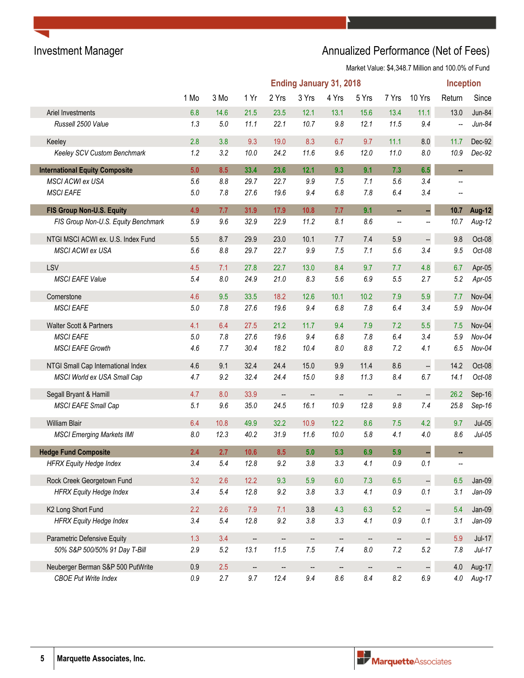## Investment Manager **Annualized Performance (Net of Fees)** Annualized Performance (Net of Fees)

|                                       | <b>Ending January 31, 2018</b><br><b>Inception</b> |         |                          |                          |                          |                          |                          |                          |                      |                          |               |
|---------------------------------------|----------------------------------------------------|---------|--------------------------|--------------------------|--------------------------|--------------------------|--------------------------|--------------------------|----------------------|--------------------------|---------------|
|                                       | 1 Mo                                               | 3 Mo    | 1 Yr                     | 2 Yrs                    | 3 Yrs                    | 4 Yrs                    | 5 Yrs                    | 7 Yrs                    | 10 Yrs               | Return                   | Since         |
| Ariel Investments                     | 6.8                                                | 14.6    | 21.5                     | 23.5                     | 12.1                     | 13.1                     | 15.6                     | 13.4                     | 11.1                 | 13.0                     | Jun-84        |
| Russell 2500 Value                    | 1.3                                                | $5.0\,$ | 11.1                     | 22.1                     | 10.7                     | $9.8\,$                  | 12.1                     | 11.5                     | 9.4                  | $\overline{\phantom{a}}$ | $Jun-84$      |
| Keeley                                | 2.8                                                | 3.8     | 9.3                      | 19.0                     | 8.3                      | 6.7                      | 9.7                      | 11.1                     | $8.0\,$              | 11.7                     | Dec-92        |
| Keeley SCV Custom Benchmark           | 1.2                                                | 3.2     | 10.0                     | 24.2                     | 11.6                     | 9.6                      | 12.0                     | 11.0                     | $8.0\,$              | 10.9                     | Dec-92        |
| <b>International Equity Composite</b> | 5.0                                                | 8.5     | 33.4                     | 23.6                     | 12.1                     | 9.3                      | 9.1                      | 7.3                      | 6.5                  | ÷.                       |               |
| MSCI ACWI ex USA                      | 5.6                                                | 8.8     | 29.7                     | 22.7                     | 9.9                      | 7.5                      | 7.1                      | 5.6                      | 3.4                  | $\overline{a}$           |               |
| <b>MSCI EAFE</b>                      | $5.0\,$                                            | 7.8     | 27.6                     | 19.6                     | 9.4                      | 6.8                      | 7.8                      | 6.4                      | 3.4                  |                          |               |
| FIS Group Non-U.S. Equity             | 4.9                                                | 7.7     | 31.9                     | 17.9                     | 10.8                     | 7.7                      | 9.1                      | ш,                       | ÷,                   | 10.7                     | <b>Aug-12</b> |
| FIS Group Non-U.S. Equity Benchmark   | 5.9                                                | 9.6     | 32.9                     | 22.9                     | 11.2                     | 8.1                      | 8.6                      | --                       | --                   | 10.7                     | Aug-12        |
| NTGI MSCI ACWI ex. U.S. Index Fund    | 5.5                                                | 8.7     | 29.9                     | 23.0                     | 10.1                     | 7.7                      | 7.4                      | 5.9                      | $\ddot{\phantom{a}}$ | 9.8                      | Oct-08        |
| MSCI ACWI ex USA                      | 5.6                                                | 8.8     | 29.7                     | 22.7                     | 9.9                      | 7.5                      | 7.1                      | $5.6\,$                  | 3.4                  | 9.5                      | Oct-08        |
| LSV                                   | 4.5                                                | 7.1     | 27.8                     | 22.7                     | 13.0                     | 8.4                      | 9.7                      | 7.7                      | 4.8                  | 6.7                      | Apr-05        |
| <b>MSCI EAFE Value</b>                | 5.4                                                | 8.0     | 24.9                     | 21.0                     | 8.3                      | 5.6                      | 6.9                      | 5.5                      | 2.7                  | 5.2                      | $Apr-05$      |
| Cornerstone                           | 4.6                                                | 9.5     | 33.5                     | 18.2                     | 12.6                     | 10.1                     | 10.2                     | 7.9                      | 5.9                  | 7.7                      | Nov-04        |
| <b>MSCI EAFE</b>                      | $5.0\,$                                            | 7.8     | 27.6                     | 19.6                     | 9.4                      | 6.8                      | 7.8                      | 6.4                      | 3.4                  | 5.9                      | $Nov-04$      |
| Walter Scott & Partners               | 4.1                                                | 6.4     | 27.5                     | 21.2                     | 11.7                     | 9.4                      | 7.9                      | 7.2                      | 5.5                  | 7.5                      | Nov-04        |
| <b>MSCI EAFE</b>                      | $5.0\,$                                            | 7.8     | 27.6                     | 19.6                     | 9.4                      | 6.8                      | 7.8                      | 6.4                      | 3.4                  | 5.9                      | Nov-04        |
| <b>MSCI EAFE Growth</b>               | 4.6                                                | 7.7     | 30.4                     | 18.2                     | 10.4                     | $\pmb{8.0}$              | $8.8\,$                  | 7.2                      | 4.1                  | 6.5                      | Nov-04        |
| NTGI Small Cap International Index    | 4.6                                                | 9.1     | 32.4                     | 24.4                     | 15.0                     | 9.9                      | 11.4                     | 8.6                      | $\Box$               | 14.2                     | Oct-08        |
| MSCI World ex USA Small Cap           | 4.7                                                | 9.2     | 32.4                     | 24.4                     | 15.0                     | 9.8                      | 11.3                     | 8.4                      | 6.7                  | 14.1                     | Oct-08        |
| Segall Bryant & Hamill                | 4.7                                                | 8.0     | 33.9                     | $\overline{\phantom{a}}$ | $\overline{\phantom{a}}$ | $\overline{\phantom{a}}$ | --                       | $\qquad \qquad \qquad -$ |                      | 26.2                     | Sep-16        |
| MSCI EAFE Small Cap                   | 5.1                                                | 9.6     | 35.0                     | 24.5                     | 16.1                     | 10.9                     | 12.8                     | $9.8\,$                  | 7.4                  | 25.8                     | Sep-16        |
| <b>William Blair</b>                  | 6.4                                                | 10.8    | 49.9                     | 32.2                     | 10.9                     | 12.2                     | 8.6                      | 7.5                      | 4.2                  | 9.7                      | $Jul-05$      |
| <b>MSCI Emerging Markets IMI</b>      | 8.0                                                | 12.3    | 40.2                     | 31.9                     | 11.6                     | 10.0                     | 5.8                      | 4.1                      | 4.0                  | 8.6                      | $Jul-05$      |
| <b>Hedge Fund Composite</b>           | 2.4                                                | 2.7     | 10.6                     | 8.5                      | 5.0                      | 5.3                      | 6.9                      | 5.9                      | 4                    | н,                       |               |
| <b>HFRX Equity Hedge Index</b>        | 3.4                                                | $5.4\,$ | 12.8                     | 9.2                      | 3.8                      | 3.3                      | 4.1                      | $0.9\,$                  | $0.1\,$              | --                       |               |
| Rock Creek Georgetown Fund            | 3.2                                                | 2.6     | 12.2                     | 9.3                      | 5.9                      | 6.0                      | 7.3                      | 6.5                      | ÷,                   | 6.5                      | Jan-09        |
| <b>HFRX Equity Hedge Index</b>        | 3.4                                                | 5.4     | 12.8                     | 9.2                      | 3.8                      | 3.3                      | 4.1                      | $0.9\,$                  | 0.1                  | 3.1                      | $Jan-09$      |
| K2 Long Short Fund                    | 2.2                                                | 2.6     | 7.9                      | 7.1                      | 3.8                      | 4.3                      | 6.3                      | 5.2                      | $\Box$               | 5.4                      | Jan-09        |
| <b>HFRX Equity Hedge Index</b>        | 3.4                                                | 5.4     | 12.8                     | 9.2                      | $3.8\,$                  | 3.3                      | 4.1                      | $0.9\,$                  | 0.1                  | 3.1                      | $Jan-09$      |
| Parametric Defensive Equity           | 1.3                                                | 3.4     | --                       | --                       | $\overline{\phantom{a}}$ | --                       | $\overline{\phantom{a}}$ | $\overline{\phantom{a}}$ |                      | 5.9                      | $Jul-17$      |
| 50% S&P 500/50% 91 Day T-Bill         | $2.9\,$                                            | 5.2     | 13.1                     | 11.5                     | 7.5                      | 7.4                      | $\it 8.0$                | 7.2                      | 5.2                  | 7.8                      | $Jul-17$      |
| Neuberger Berman S&P 500 PutWrite     | 0.9                                                | 2.5     | $\overline{\phantom{a}}$ | --                       | $\overline{\phantom{a}}$ | $\qquad \qquad -$        | $\overline{\phantom{a}}$ | $\qquad \qquad \cdots$   | $\ddot{\phantom{0}}$ | 4.0                      | Aug-17        |
| <b>CBOE Put Write Index</b>           | $0.9\,$                                            | 2.7     | $9.7\,$                  | 12.4                     | 9.4                      | $8.6\,$                  | 8.4                      | 8.2                      | 6.9                  | 4.0                      | Aug-17        |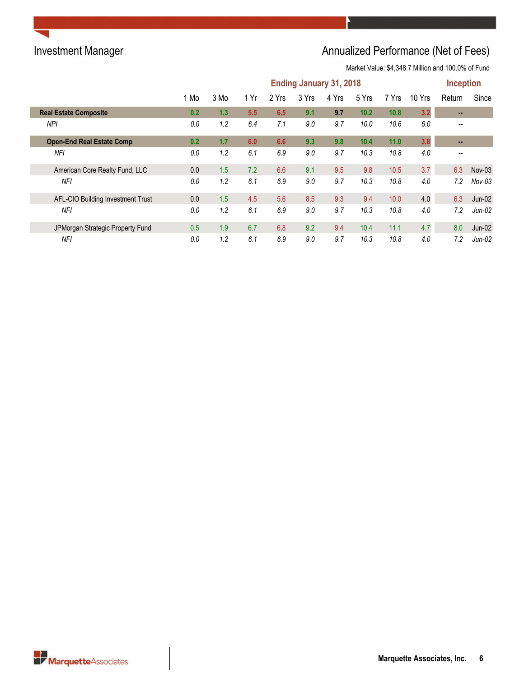## Investment Manager **Annualized Performance (Net of Fees)** Annualized Performance (Net of Fees)

|                                   | <b>Ending January 31, 2018</b> |      |      |       |       |       |       |       |        | <b>Inception</b>         |          |
|-----------------------------------|--------------------------------|------|------|-------|-------|-------|-------|-------|--------|--------------------------|----------|
|                                   | 1 Mo                           | 3 Mo | 1 Yr | 2 Yrs | 3 Yrs | 4 Yrs | 5 Yrs | 7 Yrs | 10 Yrs | Return                   | Since    |
| <b>Real Estate Composite</b>      | 0.2                            | 1.3  | 5.5  | 6.5   | 9.1   | 9.7   | 10.2  | 10.8  | 3.2    |                          |          |
| <b>NPI</b>                        | 0.0                            | 1.2  | 6.4  | 7.1   | 9.0   | 9.7   | 10.0  | 10.6  | 6.0    | $\overline{\phantom{m}}$ |          |
| <b>Open-End Real Estate Comp</b>  | 0.2                            | 1.7  | 6.0  | 6.6   | 9.3   | 9.8   | 10.4  | 11.0  | 3.8    | $\blacksquare$           |          |
| <b>NFI</b>                        | 0.0                            | 1.2  | 6.1  | 6.9   | 9.0   | 9.7   | 10.3  | 10.8  | 4.0    | $\overline{\phantom{m}}$ |          |
| American Core Realty Fund, LLC    | 0.0                            | 1.5  | 7.2  | 6.6   | 9.1   | 9.5   | 9.8   | 10.5  | 3.7    | 6.3                      | $Nov-03$ |
| NFI                               | 0.0                            | 1.2  | 6.1  | 6.9   | 9.0   | 9.7   | 10.3  | 10.8  | 4.0    | 7.2                      | $Nov-03$ |
| AFL-CIO Building Investment Trust | 0.0                            | 1.5  | 4.5  | 5.6   | 8.5   | 9.3   | 9.4   | 10.0  | 4.0    | 6.3                      | $Jun-02$ |
| NFI                               | 0.0                            | 1.2  | 6.1  | 6.9   | 9.0   | 9.7   | 10.3  | 10.8  | 4.0    | 7.2                      | $Jun-02$ |
| JPMorgan Strategic Property Fund  | 0.5                            | 1.9  | 6.7  | 6.8   | 9.2   | 9.4   | 10.4  | 11.1  | 4.7    | 8.0                      | $Jun-02$ |
| <b>NFI</b>                        | 0.0                            | 1.2  | 6.1  | 6.9   | 9.0   | 9.7   | 10.3  | 10.8  | 4.0    | 7.2                      | $Jun-02$ |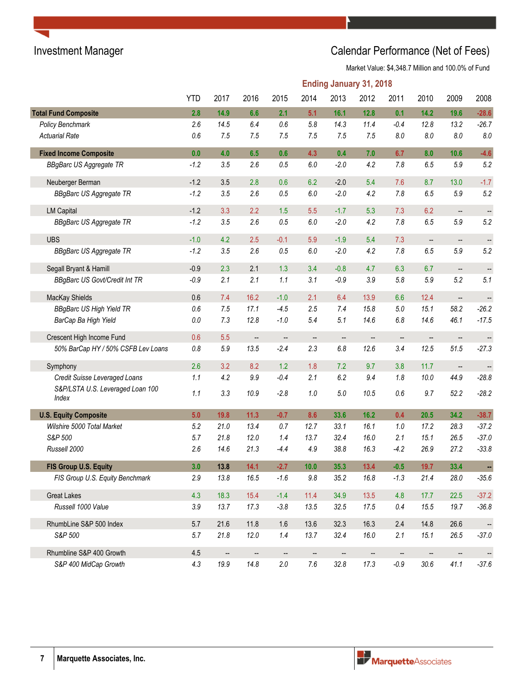# Investment Manager **Investment Manager** Calendar Performance (Net of Fees)

|                                           |            |                        |                   |                   |                          | <b>Ending January 31, 2018</b> |                          |         |                   |                          |                          |
|-------------------------------------------|------------|------------------------|-------------------|-------------------|--------------------------|--------------------------------|--------------------------|---------|-------------------|--------------------------|--------------------------|
|                                           | <b>YTD</b> | 2017                   | 2016              | 2015              | 2014                     | 2013                           | 2012                     | 2011    | 2010              | 2009                     | 2008                     |
| <b>Total Fund Composite</b>               | 2.8        | 14.9                   | 6.6               | 2.1               | 5.1                      | 16.1                           | 12.8                     | 0.1     | 14.2              | 19.6                     | $-28.6$                  |
| Policy Benchmark                          | 2.6        | 14.5                   | 6.4               | 0.6               | 5.8                      | 14.3                           | 11.4                     | $-0.4$  | 12.8              | 13.2                     | $-26.7$                  |
| <b>Actuarial Rate</b>                     | 0.6        | 7.5                    | 7.5               | 7.5               | 7.5                      | 7.5                            | 7.5                      | 8.0     | $8.0\,$           | 8.0                      | $\it 8.0$                |
| <b>Fixed Income Composite</b>             | 0.0        | 4.0                    | 6.5               | 0.6               | 4.3                      | 0.4                            | 7.0                      | 6.7     | 8.0               | 10.6                     | $-4.6$                   |
| <b>BBgBarc US Aggregate TR</b>            | $-1.2$     | 3.5                    | 2.6               | 0.5               | $6.0\,$                  | $-2.0$                         | 4.2                      | 7.8     | 6.5               | 5.9                      | 5.2                      |
| Neuberger Berman                          | $-1.2$     | 3.5                    | 2.8               | 0.6               | 6.2                      | $-2.0$                         | 5.4                      | 7.6     | 8.7               | 13.0                     | $-1.7$                   |
| <b>BBgBarc US Aggregate TR</b>            | $-1.2$     | 3.5                    | 2.6               | 0.5               | $6.0\,$                  | $-2.0$                         | 4.2                      | 7.8     | 6.5               | $5.9\,$                  | 5.2                      |
| <b>LM Capital</b>                         | $-1.2$     | 3.3                    | 2.2               | 1.5               | 5.5                      | $-1.7$                         | 5.3                      | 7.3     | 6.2               | $\overline{\phantom{a}}$ | $\overline{\phantom{a}}$ |
| <b>BBgBarc US Aggregate TR</b>            | $-1.2$     | 3.5                    | 2.6               | 0.5               | $6.0\,$                  | $-2.0$                         | 4.2                      | 7.8     | 6.5               | 5.9                      | 5.2                      |
| <b>UBS</b>                                | $-1.0$     | 4.2                    | 2.5               | $-0.1$            | 5.9                      | $-1.9$                         | 5.4                      | 7.3     | $\qquad \qquad -$ | $\overline{\phantom{a}}$ | $\frac{1}{2}$            |
| <b>BBgBarc US Aggregate TR</b>            | $-1.2$     | 3.5                    | 2.6               | 0.5               | $6.0\,$                  | $-2.0$                         | 4.2                      | 7.8     | 6.5               | 5.9                      | 5.2                      |
| Segall Bryant & Hamill                    | $-0.9$     | 2.3                    | 2.1               | 1.3               | 3.4                      | $-0.8$                         | 4.7                      | 6.3     | 6.7               | $\overline{\phantom{a}}$ | --                       |
| <b>BBgBarc US Govt/Credit Int TR</b>      | $-0.9$     | 2.1                    | 2.1               | 1.1               | 3.1                      | $-0.9$                         | 3.9                      | 5.8     | 5.9               | 5.2                      | 5.1                      |
| MacKay Shields                            | 0.6        | 7.4                    | 16.2              | $-1.0$            | 2.1                      | 6.4                            | 13.9                     | 6.6     | 12.4              | $\overline{\phantom{a}}$ | $\qquad \qquad \qquad -$ |
| <b>BBgBarc US High Yield TR</b>           | $0.6\,$    | 7.5                    | 17.1              | $-4.5$            | 2.5                      | 7.4                            | 15.8                     | $5.0\,$ | 15.1              | 58.2                     | $-26.2$                  |
| BarCap Ba High Yield                      | $0.0\,$    | 7.3                    | 12.8              | $-1.0$            | 5.4                      | 5.1                            | 14.6                     | 6.8     | 14.6              | 46.1                     | $-17.5$                  |
| Crescent High Income Fund                 | 0.6        | 5.5                    | $\qquad \qquad -$ | $\qquad \qquad -$ | --                       | --                             | $\qquad \qquad \qquad -$ | --      |                   | --                       | $\overline{\phantom{a}}$ |
| 50% BarCap HY / 50% CSFB Lev Loans        | $0.8\,$    | $5.9\,$                | 13.5              | $-2.4$            | 2.3                      | $6.8\,$                        | 12.6                     | 3.4     | 12.5              | 51.5                     | $-27.3$                  |
| Symphony                                  | 2.6        | 3.2                    | 8.2               | 1.2               | 1.8                      | 7.2                            | 9.7                      | 3.8     | 11.7              | $\overline{\phantom{a}}$ |                          |
| Credit Suisse Leveraged Loans             | 1.1        | 4.2                    | $9.9\,$           | $-0.4$            | 2.1                      | 6.2                            | 9.4                      | 1.8     | 10.0              | 44.9                     | $-28.8$                  |
| S&P/LSTA U.S. Leveraged Loan 100<br>Index | 1.1        | 3.3                    | 10.9              | $-2.8$            | 1.0                      | $5.0\,$                        | 10.5                     | 0.6     | 9.7               | 52.2                     | $-28.2$                  |
| <b>U.S. Equity Composite</b>              | 5.0        | 19.8                   | $11.3$            | $-0.7$            | 8.6                      | 33.6                           | 16.2                     | 0.4     | 20.5              | 34.2                     | $-38.7$                  |
| Wilshire 5000 Total Market                | 5.2        | 21.0                   | 13.4              | 0.7               | 12.7                     | 33.1                           | 16.1                     | 1.0     | 17.2              | 28.3                     | $-37.2$                  |
| S&P 500                                   | 5.7        | 21.8                   | 12.0              | 1.4               | 13.7                     | 32.4                           | 16.0                     | 2.1     | 15.1              | 26.5                     | $-37.0$                  |
| Russell 2000                              | 2.6        | 14.6                   | 21.3              | $-4.4$            | 4.9                      | 38.8                           | 16.3                     | $-4.2$  | 26.9              | 27.2                     | $-33.8$                  |
| FIS Group U.S. Equity                     | 3.0        | 13.8                   | 14.1              | $-2.7$            | 10.0                     | 35.3                           | 13.4                     | $-0.5$  | 19.7              | 33.4                     | ÷                        |
| FIS Group U.S. Equity Benchmark           | 2.9        | 13.8                   | 16.5              | $-1.6$            | $9.8\,$                  | 35.2                           | 16.8                     | $-1.3$  | 21.4              | 28.0                     | $-35.6$                  |
| <b>Great Lakes</b>                        | 4.3        | 18.3                   | 15.4              | $-1.4$            | 11.4                     | 34.9                           | 13.5                     | 4.8     | 17.7              | 22.5                     | $-37.2$                  |
| Russell 1000 Value                        | 3.9        | 13.7                   | 17.3              | $-3.8$            | 13.5                     | 32.5                           | 17.5                     | 0.4     | 15.5              | 19.7                     | $-36.8$                  |
| RhumbLine S&P 500 Index                   | 5.7        | 21.6                   | 11.8              | 1.6               | 13.6                     | 32.3                           | 16.3                     | 2.4     | 14.8              | 26.6                     | --                       |
| S&P 500                                   | 5.7        | 21.8                   | 12.0              | 1.4               | 13.7                     | 32.4                           | 16.0                     | 2.1     | 15.1              | 26.5                     | $-37.0$                  |
| Rhumbline S&P 400 Growth                  | 4.5        | $\qquad \qquad \cdots$ | $\qquad \qquad -$ | $\qquad \qquad -$ | $\overline{\phantom{a}}$ | --                             | $\frac{1}{2}$            | --      | --                | $\overline{\phantom{a}}$ | $\frac{1}{2}$            |
| S&P 400 MidCap Growth                     | 4.3        | 19.9                   | 14.8              | $2.0\,$           | $7.6\,$                  | 32.8                           | 17.3                     | $-0.9$  | $30.6$            | 41.1                     | $-37.6$                  |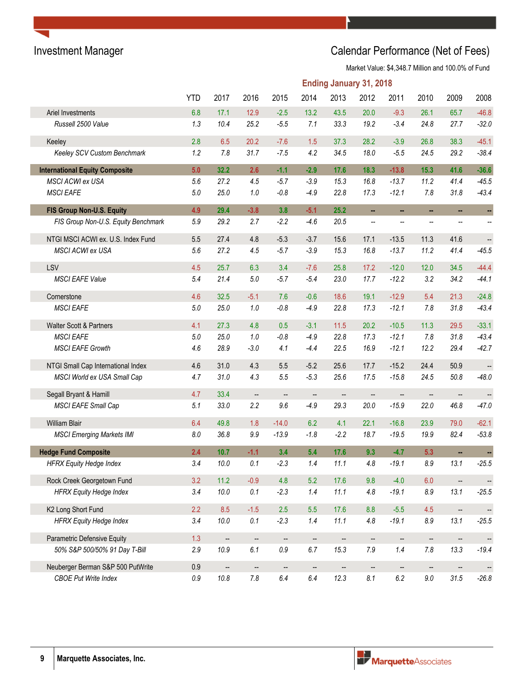## Investment Manager **Investment Manager** Calendar Performance (Net of Fees)

|                                       | <b>Ending January 31, 2018</b> |                          |                          |         |                          |                          |                          |         |           |                          |                          |
|---------------------------------------|--------------------------------|--------------------------|--------------------------|---------|--------------------------|--------------------------|--------------------------|---------|-----------|--------------------------|--------------------------|
|                                       | <b>YTD</b>                     | 2017                     | 2016                     | 2015    | 2014                     | 2013                     | 2012                     | 2011    | 2010      | 2009                     | 2008                     |
| Ariel Investments                     | 6.8                            | 17.1                     | 12.9                     | $-2.5$  | 13.2                     | 43.5                     | 20.0                     | $-9.3$  | 26.1      | 65.7                     | $-46.8$                  |
| Russell 2500 Value                    | 1.3                            | 10.4                     | 25.2                     | $-5.5$  | 7.1                      | 33.3                     | 19.2                     | $-3.4$  | 24.8      | 27.7                     | $-32.0$                  |
| Keeley                                | 2.8                            | 6.5                      | 20.2                     | $-7.6$  | 1.5                      | 37.3                     | 28.2                     | $-3.9$  | 26.8      | 38.3                     | $-45.1$                  |
| Keeley SCV Custom Benchmark           | 1.2                            | 7.8                      | 31.7                     | $-7.5$  | 4.2                      | 34.5                     | 18.0                     | $-5.5$  | 24.5      | 29.2                     | $-38.4$                  |
| <b>International Equity Composite</b> | 5.0                            | 32.2                     | 2.6                      | $-1.1$  | $-2.9$                   | 17.6                     | 18.3                     | $-13.8$ | 15.3      | 41.6                     | $-36.6$                  |
| MSCI ACWI ex USA                      | 5.6                            | 27.2                     | 4.5                      | $-5.7$  | $-3.9$                   | 15.3                     | 16.8                     | $-13.7$ | 11.2      | 41.4                     | $-45.5$                  |
| <b>MSCI EAFE</b>                      | $5.0\,$                        | 25.0                     | 1.0                      | $-0.8$  | $-4.9$                   | 22.8                     | 17.3                     | $-12.1$ | 7.8       | 31.8                     | $-43.4$                  |
| FIS Group Non-U.S. Equity             | 4.9                            | 29.4                     | $-3.8$                   | 3.8     | $-5.1$                   | 25.2                     | ш,                       | ш,      | ш,        | ш,                       | ÷,                       |
| FIS Group Non-U.S. Equity Benchmark   | 5.9                            | 29.2                     | 2.7                      | $-2.2$  | $-4.6$                   | 20.5                     | --                       | --      | --        |                          |                          |
| NTGI MSCI ACWI ex. U.S. Index Fund    | 5.5                            | 27.4                     | 4.8                      | $-5.3$  | $-3.7$                   | 15.6                     | 17.1                     | $-13.5$ | 11.3      | 41.6                     | $\overline{\phantom{a}}$ |
| MSCI ACWI ex USA                      | 5.6                            | 27.2                     | 4.5                      | $-5.7$  | $-3.9$                   | 15.3                     | 16.8                     | $-13.7$ | 11.2      | 41.4                     | $-45.5$                  |
| LSV                                   | 4.5                            | 25.7                     | 6.3                      | 3.4     | $-7.6$                   | 25.8                     | 17.2                     | $-12.0$ | 12.0      | 34.5                     | $-44.4$                  |
| <b>MSCI EAFE Value</b>                | 5.4                            | 21.4                     | 5.0                      | $-5.7$  | $-5.4$                   | 23.0                     | 17.7                     | $-12.2$ | 3.2       | 34.2                     | $-44.1$                  |
| Cornerstone                           | 4.6                            | 32.5                     | $-5.1$                   | 7.6     | $-0.6$                   | 18.6                     | 19.1                     | $-12.9$ | 5.4       | 21.3                     | $-24.8$                  |
| <b>MSCI EAFE</b>                      | $5.0\,$                        | 25.0                     | 1.0                      | $-0.8$  | $-4.9$                   | 22.8                     | 17.3                     | $-12.1$ | 7.8       | 31.8                     | $-43.4$                  |
| Walter Scott & Partners               | 4.1                            | 27.3                     | 4.8                      | 0.5     | $-3.1$                   | 11.5                     | 20.2                     | $-10.5$ | 11.3      | 29.5                     | $-33.1$                  |
| <b>MSCI EAFE</b>                      | $5.0\,$                        | 25.0                     | 1.0                      | $-0.8$  | $-4.9$                   | 22.8                     | 17.3                     | $-12.1$ | 7.8       | 31.8                     | $-43.4$                  |
| <b>MSCI EAFE Growth</b>               | 4.6                            | 28.9                     | $-3.0$                   | 4.1     | $-4.4$                   | 22.5                     | 16.9                     | $-12.1$ | 12.2      | 29.4                     | $-42.7$                  |
| NTGI Small Cap International Index    | 4.6                            | 31.0                     | 4.3                      | 5.5     | $-5.2$                   | 25.6                     | 17.7                     | $-15.2$ | 24.4      | 50.9                     | $\overline{\phantom{a}}$ |
| MSCI World ex USA Small Cap           | 4.7                            | 31.0                     | 4.3                      | 5.5     | $-5.3$                   | 25.6                     | 17.5                     | $-15.8$ | 24.5      | 50.8                     | $-48.0$                  |
| Segall Bryant & Hamill                | 4.7                            | 33.4                     | $\qquad \qquad \qquad -$ | --      | $\overline{\phantom{a}}$ | $\qquad \qquad -$        | $\qquad \qquad -$        | --      | --        | $\overline{\phantom{a}}$ |                          |
| MSCI EAFE Small Cap                   | 5.1                            | 33.0                     | 2.2                      | 9.6     | $-4.9$                   | 29.3                     | 20.0                     | $-15.9$ | 22.0      | 46.8                     | $-47.0$                  |
| William Blair                         | 6.4                            | 49.8                     | 1.8                      | $-14.0$ | 6.2                      | 4.1                      | 22.1                     | $-16.8$ | 23.9      | 79.0                     | $-62.1$                  |
| <b>MSCI Emerging Markets IMI</b>      | $8.0\,$                        | 36.8                     | 9.9                      | $-13.9$ | $-1.8$                   | $-2.2$                   | 18.7                     | $-19.5$ | 19.9      | 82.4                     | $-53.8$                  |
| <b>Hedge Fund Composite</b>           | 2.4                            | 10.7                     | $-1.1$                   | 3.4     | 5.4                      | 17.6                     | 9.3                      | $-4.7$  | 5.3       | ш,                       |                          |
| <b>HFRX Equity Hedge Index</b>        | 3.4                            | $10.0$                   | 0.1                      | $-2.3$  | 1.4                      | 11.1                     | 4.8                      | $-19.1$ | $\rm 8.9$ | 13.1                     | $-25.5$                  |
| Rock Creek Georgetown Fund            | 3.2                            | 11.2                     | $-0.9$                   | 4.8     | 5.2                      | 17.6                     | 9.8                      | $-4.0$  | 6.0       | $\overline{\phantom{a}}$ |                          |
| <b>HFRX Equity Hedge Index</b>        | 3.4                            | 10.0                     | $0.1\,$                  | $-2.3$  | 1.4                      | 11.1                     | 4.8                      | $-19.1$ | $\it 8.9$ | 13.1                     | $-25.5$                  |
| K2 Long Short Fund                    | 2.2                            | 8.5                      | $-1.5$                   | 2.5     | 5.5                      | 17.6                     | 8.8                      | $-5.5$  | 4.5       | $\overline{\phantom{a}}$ | $\overline{\phantom{a}}$ |
| <b>HFRX Equity Hedge Index</b>        | 3.4                            | 10.0                     | $0.1\,$                  | $-2.3$  | 1.4                      | 11.1                     | 4.8                      | $-19.1$ | $\it 8.9$ | 13.1                     | $-25.5$                  |
| Parametric Defensive Equity           | 1.3                            | $\overline{\phantom{a}}$ | $\qquad \qquad -$        | --      | --                       | $\overline{\phantom{a}}$ | --                       | --      | --        | --                       | $\overline{\phantom{a}}$ |
| 50% S&P 500/50% 91 Day T-Bill         | 2.9                            | 10.9                     | 6.1                      | $0.9\,$ | 6.7                      | 15.3                     | 7.9                      | 1.4     | $7.8$     | 13.3                     | $-19.4$                  |
| Neuberger Berman S&P 500 PutWrite     | 0.9                            | $\overline{\phantom{a}}$ | $\overline{\phantom{a}}$ | --      | $\overline{\phantom{a}}$ | $\overline{\phantom{a}}$ | $\overline{\phantom{a}}$ |         | --        |                          |                          |
| <b>CBOE Put Write Index</b>           | $0.9\,$                        | 10.8                     | $7.8\,$                  | $6.4\,$ | $6.4\,$                  | 12.3                     | 8.1                      | $6.2\,$ | $9.0\,$   | 31.5                     | $-26.8$                  |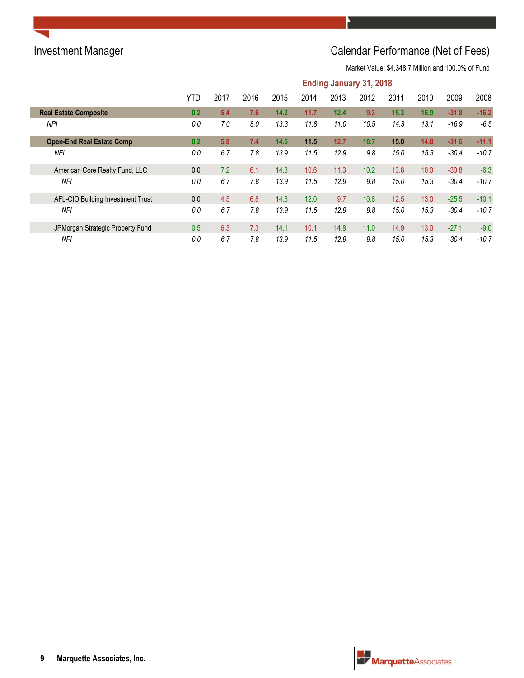## Investment Manager **Investment Manager** Calendar Performance (Net of Fees)

|                                   | <b>Ending January 31, 2018</b> |      |      |      |      |      |      |      |      |         |         |
|-----------------------------------|--------------------------------|------|------|------|------|------|------|------|------|---------|---------|
|                                   | YTD                            | 2017 | 2016 | 2015 | 2014 | 2013 | 2012 | 2011 | 2010 | 2009    | 2008    |
| <b>Real Estate Composite</b>      | 0.2                            | 5.4  | 7.6  | 14.2 | 11.7 | 12.4 | 9.3  | 15.3 | 16.9 | $-31.8$ | $-16.2$ |
| <b>NPI</b>                        | 0.0                            | 7.0  | 8.0  | 13.3 | 11.8 | 11.0 | 10.5 | 14.3 | 13.1 | $-16.9$ | $-6.5$  |
| <b>Open-End Real Estate Comp</b>  | 0.2                            | 5.8  | 7.4  | 14.6 | 11.5 | 12.7 | 10.7 | 15.0 | 14.8 | $-31.6$ | $-11.1$ |
| <b>NFI</b>                        | 0.0                            | 6.7  | 7.8  | 13.9 | 11.5 | 12.9 | 9.8  | 15.0 | 15.3 | $-30.4$ | $-10.7$ |
| American Core Realty Fund, LLC    | 0.0                            | 7.2  | 6.1  | 14.3 | 10.6 | 11.3 | 10.2 | 13.8 | 10.0 | $-30.8$ | $-6.3$  |
| NFI                               | 0.0                            | 6.7  | 7.8  | 13.9 | 11.5 | 12.9 | 9.8  | 15.0 | 15.3 | $-30.4$ | $-10.7$ |
| AFL-CIO Building Investment Trust | 0.0                            | 4.5  | 6.8  | 14.3 | 12.0 | 9.7  | 10.8 | 12.5 | 13.0 | $-25.5$ | $-10.1$ |
| NFI                               | 0.0                            | 6.7  | 7.8  | 13.9 | 11.5 | 12.9 | 9.8  | 15.0 | 15.3 | $-30.4$ | $-10.7$ |
| JPMorgan Strategic Property Fund  | 0.5                            | 6.3  | 7.3  | 14.1 | 10.1 | 14.8 | 11.0 | 14.9 | 13.0 | $-27.1$ | $-9.0$  |
| <b>NF</b>                         | 0.0                            | 6.7  | 7.8  | 13.9 | 11.5 | 12.9 | 9.8  | 15.0 | 15.3 | $-30.4$ | $-10.7$ |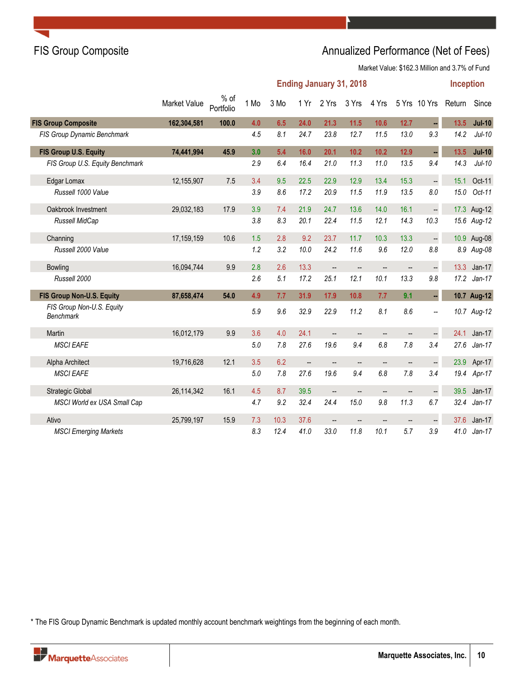## FIS Group Composite **Annualized Performance (Net of Fees)** Annualized Performance (Net of Fees)

Market Value: \$162.3 Million and 3.7% of Fund

|                                               | <b>Ending January 31, 2018</b><br><b>Inception</b> |                     |      |      |                          |       |       |                          |                        |                      |          |             |
|-----------------------------------------------|----------------------------------------------------|---------------------|------|------|--------------------------|-------|-------|--------------------------|------------------------|----------------------|----------|-------------|
|                                               | Market Value                                       | $%$ of<br>Portfolio | 1 Mo | 3 Mo | 1 Yr                     | 2 Yrs | 3 Yrs | 4 Yrs                    |                        | 5 Yrs 10 Yrs         | Return   | Since       |
| <b>FIS Group Composite</b>                    | 162,304,581                                        | 100.0               | 4.0  | 6.5  | 24.0                     | 21.3  | 11.5  | 10.6                     | 12.7                   |                      | 13.5     | $Jul-10$    |
| FIS Group Dynamic Benchmark                   |                                                    |                     | 4.5  | 8.1  | 24.7                     | 23.8  | 12.7  | 11.5                     | 13.0                   | 9.3                  | 14.2     | $Jul-10$    |
| FIS Group U.S. Equity                         | 74,441,994                                         | 45.9                | 3.0  | 5.4  | 16.0                     | 20.1  | 10.2  | 10.2                     | 12.9                   |                      | 13.5     | $Jul-10$    |
| FIS Group U.S. Equity Benchmark               |                                                    |                     | 2.9  | 6.4  | 16.4                     | 21.0  | 11.3  | 11.0                     | 13.5                   | 9.4                  | 14.3     | $Jul-10$    |
| Edgar Lomax                                   | 12,155,907                                         | 7.5                 | 3.4  | 9.5  | 22.5                     | 22.9  | 12.9  | 13.4                     | 15.3                   | $\ddot{\phantom{0}}$ | 15.1     | Oct-11      |
| Russell 1000 Value                            |                                                    |                     | 3.9  | 8.6  | 17.2                     | 20.9  | 11.5  | 11.9                     | 13.5                   | $8.0\,$              | $15.0\,$ | Oct-11      |
| Oakbrook Investment                           | 29,032,183                                         | 17.9                | 3.9  | 7.4  | 21.9                     | 24.7  | 13.6  | 14.0                     | 16.1                   | $\Box$               |          | 17.3 Aug-12 |
| Russell MidCap                                |                                                    |                     | 3.8  | 8.3  | 20.1                     | 22.4  | 11.5  | 12.1                     | 14.3                   | 10.3                 |          | 15.6 Aug-12 |
| Channing                                      | 17,159,159                                         | 10.6                | 1.5  | 2.8  | 9.2                      | 23.7  | 11.7  | 10.3                     | 13.3                   | $\ddot{\phantom{0}}$ |          | 10.9 Aug-08 |
| Russell 2000 Value                            |                                                    |                     | 1.2  | 3.2  | 10.0                     | 24.2  | 11.6  | 9.6                      | 12.0                   | 8.8                  |          | 8.9 Aug-08  |
| <b>Bowling</b>                                | 16,094,744                                         | 9.9                 | 2.8  | 2.6  | 13.3                     | --    | --    | $\qquad \qquad -$        | --                     | $\ddot{\phantom{0}}$ | 13.3     | $Jan-17$    |
| Russell 2000                                  |                                                    |                     | 2.6  | 5.1  | 17.2                     | 25.1  | 12.1  | 10.1                     | 13.3                   | 9.8                  | 17.2     | $Jan-17$    |
| FIS Group Non-U.S. Equity                     | 87,658,474                                         | 54.0                | 4.9  | 7.7  | 31.9                     | 17.9  | 10.8  | 7.7                      | 9.1                    | ÷,                   |          | 10.7 Aug-12 |
| FIS Group Non-U.S. Equity<br><b>Benchmark</b> |                                                    |                     | 5.9  | 9.6  | 32.9                     | 22.9  | 11.2  | 8.1                      | 8.6                    | Ξ.                   |          | 10.7 Aug-12 |
| Martin                                        | 16,012,179                                         | 9.9                 | 3.6  | 4.0  | 24.1                     | --    | --    | $\qquad \qquad -$        | --                     | ÷,                   | 24.1     | $Jan-17$    |
| <b>MSCI EAFE</b>                              |                                                    |                     | 5.0  | 7.8  | 27.6                     | 19.6  | 9.4   | 6.8                      | 7.8                    | 3.4                  | 27.6     | $Jan-17$    |
| Alpha Architect                               | 19,716,628                                         | 12.1                | 3.5  | 6.2  | $\overline{\phantom{a}}$ | --    | --    | $\qquad \qquad -$        | $\qquad \qquad \cdots$ | $\ddot{\phantom{0}}$ | 23.9     | Apr-17      |
| <b>MSCI EAFE</b>                              |                                                    |                     | 5.0  | 7.8  | 27.6                     | 19.6  | 9.4   | 6.8                      | 7.8                    | 3.4                  | 19.4     | Apr-17      |
| <b>Strategic Global</b>                       | 26,114,342                                         | 16.1                | 4.5  | 8.7  | 39.5                     | --    | --    | $\qquad \qquad -$        | --                     | $\ddot{\phantom{0}}$ | 39.5     | $Jan-17$    |
| MSCI World ex USA Small Cap                   |                                                    |                     | 4.7  | 9.2  | 32.4                     | 24.4  | 15.0  | 9.8                      | 11.3                   | 6.7                  | 32.4     | $Jan-17$    |
| Ativo                                         | 25,799,197                                         | 15.9                | 7.3  | 10.3 | 37.6                     |       |       | $\overline{\phantom{a}}$ | --                     | $\Box$               | 37.6     | $Jan-17$    |
| <b>MSCI Emerging Markets</b>                  |                                                    |                     | 8.3  | 12.4 | 41.0                     | 33.0  | 11.8  | 10.1                     | 5.7                    | 3.9                  | 41.0     | $Jan-17$    |

\* The FIS Group Dynamic Benchmark is updated monthly account benchmark weightings from the beginning of each month.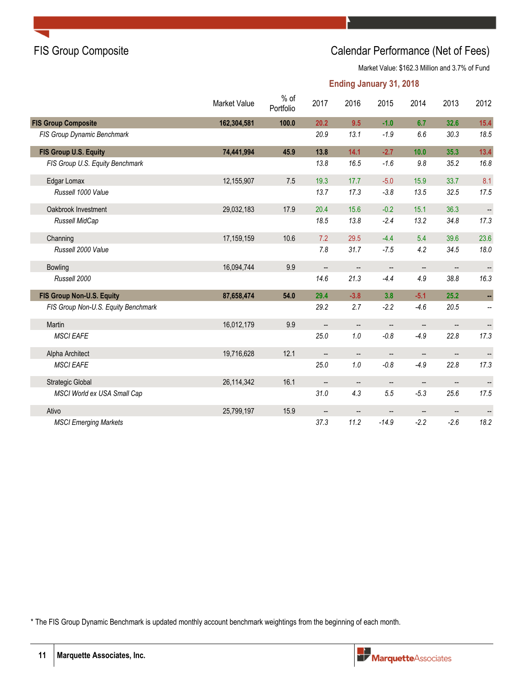### FIS Group Composite Calendar Performance (Net of Fees)

Market Value: \$162.3 Million and 3.7% of Fund

### **Ending January 31, 2018**

|                                     | Market Value | $%$ of<br>Portfolio | 2017                     | 2016                     | 2015                     | 2014                               | 2013                     | 2012                     |
|-------------------------------------|--------------|---------------------|--------------------------|--------------------------|--------------------------|------------------------------------|--------------------------|--------------------------|
| <b>FIS Group Composite</b>          | 162,304,581  | 100.0               | 20.2                     | 9.5                      | $-1.0$                   | 6.7                                | 32.6                     | 15.4                     |
| FIS Group Dynamic Benchmark         |              |                     | 20.9                     | 13.1                     | $-1.9$                   | 6.6                                | 30.3                     | 18.5                     |
| FIS Group U.S. Equity               | 74,441,994   | 45.9                | 13.8                     | 14.1                     | $-2.7$                   | 10.0                               | 35.3                     | 13.4                     |
| FIS Group U.S. Equity Benchmark     |              |                     | 13.8                     | 16.5                     | $-1.6$                   | 9.8                                | 35.2                     | 16.8                     |
| Edgar Lomax                         | 12,155,907   | 7.5                 | 19.3                     | 17.7                     | $-5.0$                   | 15.9                               | 33.7                     | 8.1                      |
| Russell 1000 Value                  |              |                     | 13.7                     | 17.3                     | $-3.8$                   | 13.5                               | 32.5                     | 17.5                     |
| Oakbrook Investment                 | 29,032,183   | 17.9                | 20.4                     | 15.6                     | $-0.2$                   | 15.1                               | 36.3                     |                          |
| Russell MidCap                      |              |                     | 18.5                     | 13.8                     | $-2.4$                   | 13.2                               | 34.8                     | 17.3                     |
| Channing                            | 17,159,159   | 10.6                | 7.2                      | 29.5                     | $-4.4$                   | 5.4                                | 39.6                     | 23.6                     |
| Russell 2000 Value                  |              |                     | 7.8                      | 31.7                     | $-7.5$                   | 4.2                                | 34.5                     | 18.0                     |
| <b>Bowling</b>                      | 16,094,744   | 9.9                 | $\overline{\phantom{a}}$ | $\overline{\phantom{a}}$ | $\overline{\phantom{a}}$ | $\overline{\phantom{a}}$           |                          |                          |
| Russell 2000                        |              |                     | 14.6                     | 21.3                     | $-4.4$                   | 4.9                                | 38.8                     | 16.3                     |
| FIS Group Non-U.S. Equity           | 87,658,474   | 54.0                | 29.4                     | $-3.8$                   | 3.8                      | $-5.1$                             | 25.2                     |                          |
| FIS Group Non-U.S. Equity Benchmark |              |                     | 29.2                     | 2.7                      | $-2.2$                   | $-4.6$                             | 20.5                     | --                       |
| Martin                              | 16,012,179   | 9.9                 |                          | $\qquad \qquad -$        |                          | $\overline{\phantom{a}}$           |                          |                          |
| <b>MSCI EAFE</b>                    |              |                     | 25.0                     | 1.0                      | $-0.8$                   | $-4.9$                             | 22.8                     | 17.3                     |
| Alpha Architect                     | 19,716,628   | 12.1                | $\overline{\phantom{a}}$ | $\overline{\phantom{a}}$ | $\overline{\phantom{a}}$ | $\hspace{0.05cm} -\hspace{0.05cm}$ | $\overline{\phantom{a}}$ | $\overline{\phantom{a}}$ |
| <b>MSCI EAFE</b>                    |              |                     | 25.0                     | 1.0                      | $-0.8$                   | $-4.9$                             | 22.8                     | 17.3                     |
| <b>Strategic Global</b>             | 26,114,342   | 16.1                | $\overline{\phantom{a}}$ | $\overline{\phantom{a}}$ | $\overline{\phantom{a}}$ | $\overline{\phantom{a}}$           | $\overline{\phantom{a}}$ |                          |
| MSCI World ex USA Small Cap         |              |                     | 31.0                     | 4.3                      | 5.5                      | $-5.3$                             | 25.6                     | 17.5                     |
| Ativo                               | 25,799,197   | 15.9                | $\overline{\phantom{a}}$ | --                       |                          | $\overline{\phantom{a}}$           |                          |                          |
| <b>MSCI Emerging Markets</b>        |              |                     | 37.3                     | 11.2                     | $-14.9$                  | $-2.2$                             | $-2.6$                   | 18.2                     |

\* The FIS Group Dynamic Benchmark is updated monthly account benchmark weightings from the beginning of each month.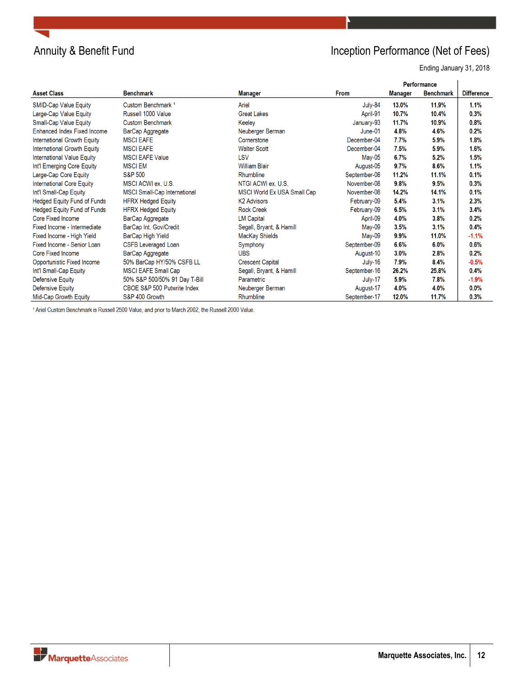

## Annuity & Benefit Fund **Inception Performance (Net of Fees)**

Ending January 31, 2018

|                                   |                                     |                             |              | <b>Performance</b> |                  |                   |
|-----------------------------------|-------------------------------------|-----------------------------|--------------|--------------------|------------------|-------------------|
| <b>Asset Class</b>                | <b>Benchmark</b>                    | <b>Manager</b>              | <b>From</b>  | <b>Manager</b>     | <b>Benchmark</b> | <b>Difference</b> |
| SMID-Cap Value Equity             | Custom Benchmark <sup>1</sup>       | Ariel                       | July-84      | 13.0%              | 11.9%            | 1.1%              |
| Large-Cap Value Equity            | Russell 1000 Value                  | <b>Great Lakes</b>          | April-91     | 10.7%              | 10.4%            | 0.3%              |
| Small-Cap Value Equity            | <b>Custom Benchmark</b>             | Keeley                      | January-93   | 11.7%              | 10.9%            | 0.8%              |
| Enhanced Index Fixed Income       | BarCap Aggregate                    | Neuberger Berman            | $June-01$    | 4.8%               | 4.6%             | 0.2%              |
| International Growth Equity       | <b>MSCI EAFE</b>                    | Cornerstone                 | December-04  | 7.7%               | 5.9%             | 1.8%              |
| International Growth Equity       | <b>MSCI EAFE</b>                    | <b>Walter Scott</b>         | December-04  | 7.5%               | 5.9%             | 1.6%              |
| <b>International Value Equity</b> | <b>MSCI EAFE Value</b>              | LSV                         | May-05       | 6.7%               | 5.2%             | 1.5%              |
| Int'l Emerging Core Equity        | <b>MSCI EM</b>                      | <b>William Blair</b>        | August-05    | 9.7%               | 8.6%             | 1.1%              |
| Large-Cap Core Equity             | <b>S&amp;P 500</b>                  | Rhumbline                   | September-08 | 11.2%              | 11.1%            | 0.1%              |
| International Core Equity         | MSCI ACWI ex. U.S.                  | NTGI ACWI ex. U.S.          | November-08  | 9.8%               | 9.5%             | 0.3%              |
| Int'l Small-Cap Equity            | <b>MSCI Small-Cap International</b> | MSCI World Ex USA Small Cap | November-08  | 14.2%              | 14.1%            | 0.1%              |
| Hedged Equity Fund of Funds       | <b>HFRX Hedged Equity</b>           | <b>K2 Advisors</b>          | February-09  | 5.4%               | 3.1%             | 2.3%              |
| Hedged Equity Fund of Funds       | <b>HFRX Hedged Equity</b>           | <b>Rock Creek</b>           | February-09  | 6.5%               | 3.1%             | 3.4%              |
| Core Fixed Income                 | BarCap Aggregate                    | <b>LM Capital</b>           | April-09     | 4.0%               | 3.8%             | 0.2%              |
| Fixed Income - Intermediate       | BarCap Int. Gov/Credit              | Segall, Bryant, & Hamill    | $May-09$     | 3.5%               | 3.1%             | 0.4%              |
| Fixed Income - High Yield         | BarCap High Yield                   | MacKay Shields              | $May-09$     | 9.9%               | 11.0%            | $-1.1%$           |
| Fixed Income - Senior Loan        | CSFB Leveraged Loan                 | Symphony                    | September-09 | 6.6%               | 6.0%             | 0.6%              |
| Core Fixed Income                 | BarCap Aggregate                    | <b>UBS</b>                  | August-10    | 3.0%               | 2.8%             | 0.2%              |
| Opportunistic Fixed Income        | 50% BarCap HY/50% CSFB LL           | <b>Crescent Capital</b>     | July-16      | 7.9%               | 8.4%             | $-0.5%$           |
| Int'l Small-Cap Equity            | <b>MSCI EAFE Small Cap</b>          | Segall, Bryant, & Hamill    | September-16 | 26.2%              | 25.8%            | 0.4%              |
| Defensive Equity                  | 50% S&P 500/50% 91 Day T-Bill       | Parametric                  | July-17      | 5.9%               | 7.8%             | $-1.9%$           |
| <b>Defensive Equity</b>           | CBOE S&P 500 Putwrite Index         | Neuberger Berman            | August-17    | 4.0%               | 4.0%             | 0.0%              |
| Mid-Cap Growth Equity             | S&P 400 Growth                      | Rhumbline                   | September-17 | 12.0%              | 11.7%            | 0.3%              |

<sup>1</sup> Ariel Custom Benchmark is Russell 2500 Value, and prior to March 2002, the Russell 2000 Value.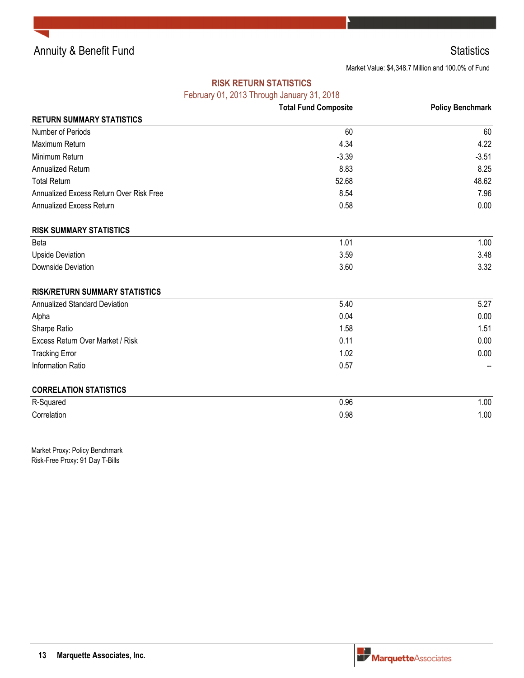Annuity & Benefit Fund Statistics **Statistics** Statistics

Market Value: \$4,348.7 Million and 100.0% of Fund

### **RISK RETURN STATISTICS**

February 01, 2013 Through January 31, 2018

|                                         | $\frac{1}{2}$<br><b>Total Fund Composite</b> | <b>Policy Benchmark</b> |
|-----------------------------------------|----------------------------------------------|-------------------------|
| <b>RETURN SUMMARY STATISTICS</b>        |                                              |                         |
| Number of Periods                       | 60                                           | 60                      |
| Maximum Return                          | 4.34                                         | 4.22                    |
| Minimum Return                          | $-3.39$                                      | $-3.51$                 |
| Annualized Return                       | 8.83                                         | 8.25                    |
| <b>Total Return</b>                     | 52.68                                        | 48.62                   |
| Annualized Excess Return Over Risk Free | 8.54                                         | 7.96                    |
| Annualized Excess Return                | 0.58                                         | 0.00                    |
| <b>RISK SUMMARY STATISTICS</b>          |                                              |                         |
| <b>Beta</b>                             | 1.01                                         | 1.00                    |
| <b>Upside Deviation</b>                 | 3.59                                         | 3.48                    |
| <b>Downside Deviation</b>               | 3.60                                         | 3.32                    |
| <b>RISK/RETURN SUMMARY STATISTICS</b>   |                                              |                         |
| <b>Annualized Standard Deviation</b>    | 5.40                                         | 5.27                    |
| Alpha                                   | 0.04                                         | 0.00                    |
| Sharpe Ratio                            | 1.58                                         | 1.51                    |
| Excess Return Over Market / Risk        | 0.11                                         | 0.00                    |
| <b>Tracking Error</b>                   | 1.02                                         | 0.00                    |
| Information Ratio                       | 0.57                                         |                         |
| <b>CORRELATION STATISTICS</b>           |                                              |                         |
| R-Squared                               | 0.96                                         | 1.00                    |
| Correlation                             | 0.98                                         | 1.00                    |

Market Proxy: Policy Benchmark Risk-Free Proxy: 91 Day T-Bills